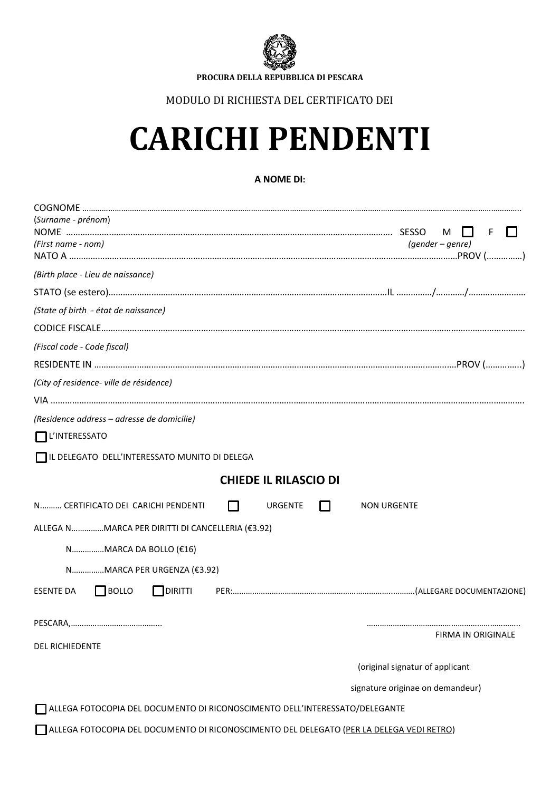

**PROCURA DELLA REPUBBLICA DI PESCARA**

## MODULO DI RICHIESTA DEL CERTIFICATO DEI

# **CARICHI PENDENTI**

### **A NOME DI:**

| (Surname - prénom)                                                                       | M<br>F<br>I I                    |
|------------------------------------------------------------------------------------------|----------------------------------|
| (First name - nom)                                                                       | $(gender - genre)$               |
| (Birth place - Lieu de naissance)                                                        |                                  |
|                                                                                          |                                  |
| (State of birth - état de naissance)                                                     |                                  |
|                                                                                          |                                  |
| (Fiscal code - Code fiscal)                                                              |                                  |
|                                                                                          |                                  |
| (City of residence- ville de résidence)                                                  |                                  |
|                                                                                          |                                  |
| (Residence address - adresse de domicilie)                                               |                                  |
| L'INTERESSATO                                                                            |                                  |
| IL DELEGATO DELL'INTERESSATO MUNITO DI DELEGA                                            |                                  |
| <b>CHIEDE IL RILASCIO DI</b>                                                             |                                  |
| N CERTIFICATO DEI CARICHI PENDENTI<br>$\mathbf{I}$<br>URGENTE                            | <b>NON URGENTE</b>               |
| ALLEGA NMARCA PER DIRITTI DI CANCELLERIA (€3.92)                                         |                                  |
| NMARCA DA BOLLO (€16)                                                                    |                                  |
| NMARCA PER URGENZA (€3.92)                                                               |                                  |
| $\Box$ BOLLO<br>DIRITTI<br>ESENTE DA                                                     |                                  |
|                                                                                          |                                  |
| <b>DEL RICHIEDENTE</b>                                                                   | FIRMA IN ORIGINALE               |
|                                                                                          | (original signatur of applicant  |
|                                                                                          | signature originae on demandeur) |
| ALLEGA FOTOCOPIA DEL DOCUMENTO DI RICONOSCIMENTO DELL'INTERESSATO/DELEGANTE              |                                  |
| ALLEGA FOTOCOPIA DEL DOCUMENTO DI RICONOSCIMENTO DEL DELEGATO (PER LA DELEGA VEDI RETRO) |                                  |